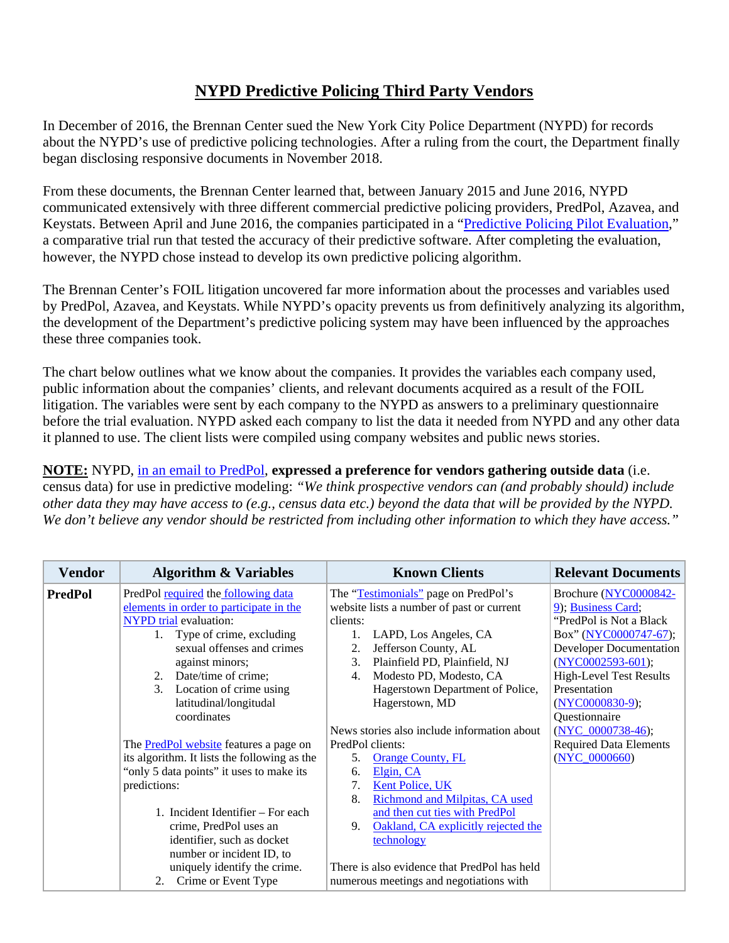## **NYPD Predictive Policing Third Party Vendors**

In December of 2016, the Brennan Center sued the New York City Police Department (NYPD) for records about the NYPD's use of predictive policing technologies. After a ruling from the court, the Department finally began disclosing responsive documents in November 2018.

From these documents, the Brennan Center learned that, between January 2015 and June 2016, NYPD communicated extensively with three different commercial predictive policing providers, PredPol, Azavea, and Keystats. Between April and June 2016, the companies participated in a ["Predictive Policing Pilot Evaluation,](https://www.brennancenter.org/sites/default/files/Predictive%20Policing%20Final%20802-818%20-%20%28%23%20Legal%208799488%29.PDF)" a comparative trial run that tested the accuracy of their predictive software. After completing the evaluation, however, the NYPD chose instead to develop its own predictive policing algorithm.

The Brennan Center's FOIL litigation uncovered far more information about the processes and variables used by PredPol, Azavea, and Keystats. While NYPD's opacity prevents us from definitively analyzing its algorithm, the development of the Department's predictive policing system may have been influenced by the approaches these three companies took.

The chart below outlines what we know about the companies. It provides the variables each company used, public information about the companies' clients, and relevant documents acquired as a result of the FOIL litigation. The variables were sent by each company to the NYPD as answers to a preliminary questionnaire before the trial evaluation. NYPD asked each company to list the data it needed from NYPD and any other data it planned to use. The client lists were compiled using company websites and public news stories.

**NOTE:** NYPD, [in an email to PredPol,](https://www.brennancenter.org/sites/default/files/October%202015%20Emails%20Predpol.pdf) **expressed a preference for vendors gathering outside data** (i.e. census data) for use in predictive modeling: *"We think prospective vendors can (and probably should) include other data they may have access to (e.g., census data etc.) beyond the data that will be provided by the NYPD. We don't believe any vendor should be restricted from including other information to which they have access."*

| <b>Vendor</b>  | <b>Algorithm &amp; Variables</b>              | <b>Known Clients</b>                         | <b>Relevant Documents</b>      |
|----------------|-----------------------------------------------|----------------------------------------------|--------------------------------|
| <b>PredPol</b> | PredPol required the following data           | The "Testimonials" page on PredPol's         | Brochure (NYC0000842-          |
|                | elements in order to participate in the       | website lists a number of past or current    | 9); Business Card;             |
|                | <b>NYPD</b> trial evaluation:                 | clients:                                     | "PredPol is Not a Black"       |
|                | Type of crime, excluding<br>1.                | 1.<br>LAPD, Los Angeles, CA                  | Box" (NYC0000747-67);          |
|                | sexual offenses and crimes                    | 2.<br>Jefferson County, AL                   | <b>Developer Documentation</b> |
|                | against minors;                               | 3.<br>Plainfield PD, Plainfield, NJ          | $(NYC0002593-601);$            |
|                | 2. Date/time of crime;                        | Modesto PD, Modesto, CA<br>4.                | <b>High-Level Test Results</b> |
|                | 3.<br>Location of crime using                 | Hagerstown Department of Police,             | Presentation                   |
|                | latitudinal/longitudal                        | Hagerstown, MD                               | $(NYC0000830-9);$              |
|                | coordinates                                   |                                              | Questionnaire                  |
|                |                                               | News stories also include information about  | (NYC $0000738-46$ );           |
|                | The <b>PredPol website</b> features a page on | PredPol clients:                             | <b>Required Data Elements</b>  |
|                | its algorithm. It lists the following as the  | 5.<br><b>Orange County, FL</b>               | $(NYC_0000660)$                |
|                | "only 5 data points" it uses to make its      | Elgin, CA<br>6.                              |                                |
|                | predictions:                                  | 7.<br>Kent Police, UK                        |                                |
|                |                                               | 8.<br>Richmond and Milpitas, CA used         |                                |
|                | 1. Incident Identifier – For each             | and then cut ties with PredPol               |                                |
|                | crime, PredPol uses an                        | 9.<br>Oakland, CA explicitly rejected the    |                                |
|                | identifier, such as docket                    | technology                                   |                                |
|                | number or incident ID, to                     |                                              |                                |
|                | uniquely identify the crime.                  | There is also evidence that PredPol has held |                                |
|                | 2. Crime or Event Type                        | numerous meetings and negotiations with      |                                |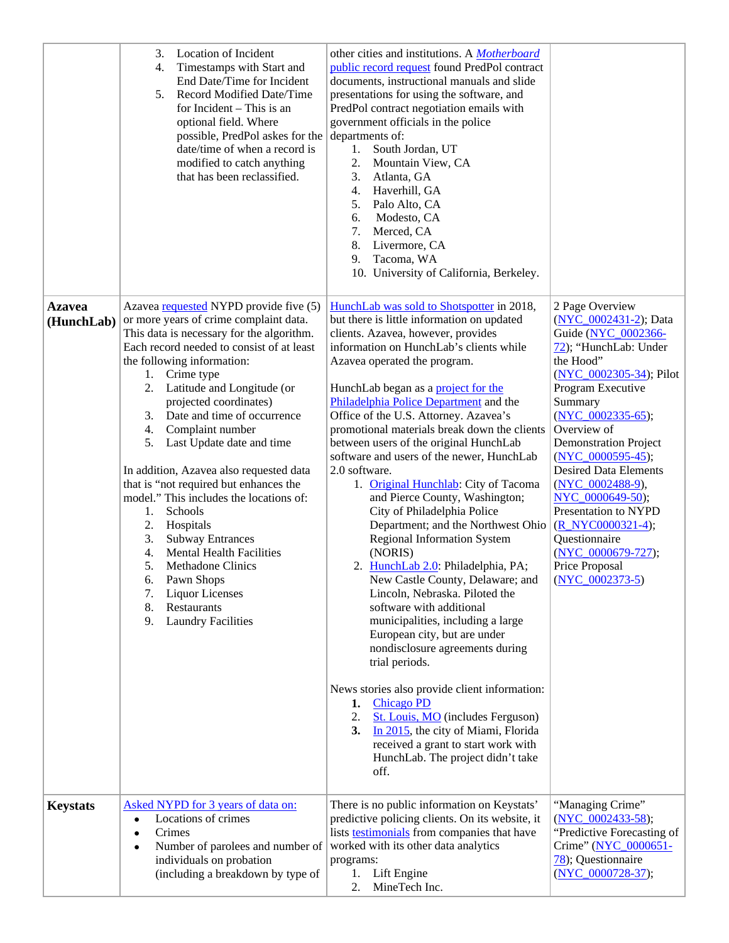|                             | 3.<br>Location of Incident<br>$\overline{4}$ .<br>Timestamps with Start and<br>End Date/Time for Incident<br>Record Modified Date/Time<br>5.<br>for Incident – This is an<br>optional field. Where<br>possible, PredPol askes for the<br>date/time of when a record is<br>modified to catch anything<br>that has been reclassified.                                                                                                                                                                                                                                                                                                                                                                                                                                               | other cities and institutions. A <i>Motherboard</i><br>public record request found PredPol contract<br>documents, instructional manuals and slide<br>presentations for using the software, and<br>PredPol contract negotiation emails with<br>government officials in the police<br>departments of:<br>South Jordan, UT<br>1.<br>2.<br>Mountain View, CA<br>3.<br>Atlanta, GA<br>Haverhill, GA<br>4.<br>Palo Alto, CA<br>5.<br>Modesto, CA<br>6.<br>7.<br>Merced, CA<br>8.<br>Livermore, CA<br>9.<br>Tacoma, WA<br>10. University of California, Berkeley.                                                                                                                                                                                                                                                                                                                                                                                                                                                                                                                                                                                                                                                           |                                                                                                                                                                                                                                                                                                                                                                                                                                                                     |
|-----------------------------|-----------------------------------------------------------------------------------------------------------------------------------------------------------------------------------------------------------------------------------------------------------------------------------------------------------------------------------------------------------------------------------------------------------------------------------------------------------------------------------------------------------------------------------------------------------------------------------------------------------------------------------------------------------------------------------------------------------------------------------------------------------------------------------|----------------------------------------------------------------------------------------------------------------------------------------------------------------------------------------------------------------------------------------------------------------------------------------------------------------------------------------------------------------------------------------------------------------------------------------------------------------------------------------------------------------------------------------------------------------------------------------------------------------------------------------------------------------------------------------------------------------------------------------------------------------------------------------------------------------------------------------------------------------------------------------------------------------------------------------------------------------------------------------------------------------------------------------------------------------------------------------------------------------------------------------------------------------------------------------------------------------------|---------------------------------------------------------------------------------------------------------------------------------------------------------------------------------------------------------------------------------------------------------------------------------------------------------------------------------------------------------------------------------------------------------------------------------------------------------------------|
| <b>Azavea</b><br>(HunchLab) | Azavea requested NYPD provide five (5)<br>or more years of crime complaint data.<br>This data is necessary for the algorithm.<br>Each record needed to consist of at least<br>the following information:<br>Crime type<br>1.<br>Latitude and Longitude (or<br>2.<br>projected coordinates)<br>Date and time of occurrence<br>3.<br>4.<br>Complaint number<br>5.<br>Last Update date and time<br>In addition, Azavea also requested data<br>that is "not required but enhances the<br>model." This includes the locations of:<br>Schools<br>1.<br>2.<br>Hospitals<br>3.<br><b>Subway Entrances</b><br>4.<br><b>Mental Health Facilities</b><br>5.<br>Methadone Clinics<br>Pawn Shops<br>6.<br><b>Liquor Licenses</b><br>7.<br>Restaurants<br>8.<br>9.<br><b>Laundry Facilities</b> | HunchLab was sold to Shotspotter in 2018,<br>but there is little information on updated<br>clients. Azavea, however, provides<br>information on HunchLab's clients while<br>Azavea operated the program.<br>HunchLab began as a project for the<br>Philadelphia Police Department and the<br>Office of the U.S. Attorney. Azavea's<br>promotional materials break down the clients<br>between users of the original HunchLab<br>software and users of the newer, HunchLab<br>2.0 software.<br>1. Original Hunchlab: City of Tacoma<br>and Pierce County, Washington;<br>City of Philadelphia Police<br>Department; and the Northwest Ohio<br><b>Regional Information System</b><br>(NORIS)<br>2. HunchLab 2.0: Philadelphia, PA;<br>New Castle County, Delaware; and<br>Lincoln, Nebraska. Piloted the<br>software with additional<br>municipalities, including a large<br>European city, but are under<br>nondisclosure agreements during<br>trial periods.<br>News stories also provide client information:<br><b>Chicago PD</b><br>1.<br>St. Louis, MO (includes Ferguson)<br>2.<br>In 2015, the city of Miami, Florida<br>3.<br>received a grant to start work with<br>HunchLab. The project didn't take<br>off. | 2 Page Overview<br>(NYC 0002431-2); Data<br>Guide (NYC 0002366-<br>72); "HunchLab: Under<br>the Hood"<br>$(NYC$ 0002305-34); Pilot<br>Program Executive<br>Summary<br>(NYC $0002335-65$ );<br>Overview of<br><b>Demonstration Project</b><br>$(NYC$ 0000595-45);<br><b>Desired Data Elements</b><br>(NYC 0002488-9),<br>NYC 0000649-50);<br>Presentation to NYPD<br>(R NYC0000321-4);<br>Questionnaire<br>(NYC_0000679-727);<br>Price Proposal<br>$(NYC 0002373-5)$ |
| <b>Keystats</b>             | Asked NYPD for 3 years of data on:<br>Locations of crimes<br>$\bullet$<br>Crimes<br>$\bullet$<br>Number of parolees and number of<br>$\bullet$<br>individuals on probation<br>(including a breakdown by type of                                                                                                                                                                                                                                                                                                                                                                                                                                                                                                                                                                   | There is no public information on Keystats'<br>predictive policing clients. On its website, it<br>lists <b>testimonials</b> from companies that have<br>worked with its other data analytics<br>programs:<br>Lift Engine<br>1.<br>2.<br>MineTech Inc.                                                                                                                                                                                                                                                                                                                                                                                                                                                                                                                                                                                                                                                                                                                                                                                                                                                                                                                                                                | "Managing Crime"<br>$(NYC_0002433-58);$<br>"Predictive Forecasting of<br>Crime" (NYC_0000651-<br>78); Questionnaire<br>(NYC 0000728-37);                                                                                                                                                                                                                                                                                                                            |